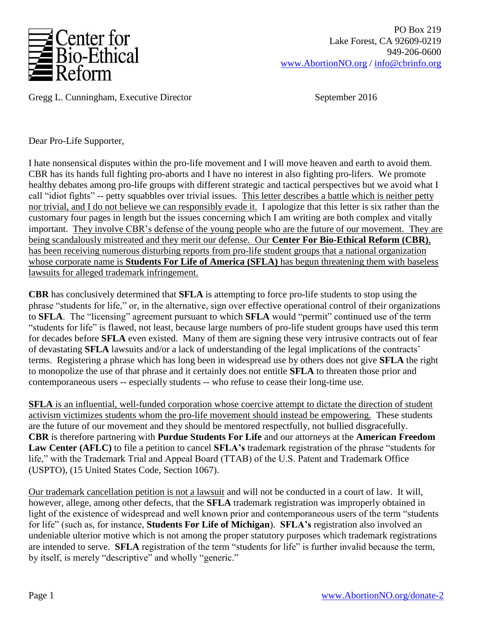

Gregg L. Cunningham, Executive Director September 2016

Dear Pro-Life Supporter,

I hate nonsensical disputes within the pro-life movement and I will move heaven and earth to avoid them. CBR has its hands full fighting pro-aborts and I have no interest in also fighting pro-lifers. We promote healthy debates among pro-life groups with different strategic and tactical perspectives but we avoid what I call "idiot fights" -- petty squabbles over trivial issues. This letter describes a battle which is neither petty nor trivial, and I do not believe we can responsibly evade it. I apologize that this letter is six rather than the customary four pages in length but the issues concerning which I am writing are both complex and vitally important. They involve CBR's defense of the young people who are the future of our movement. They are being scandalously mistreated and they merit our defense. Our **Center For Bio-Ethical Reform (CBR)**, has been receiving numerous disturbing reports from pro-life student groups that a national organization whose corporate name is **Students For Life of America (SFLA)** has begun threatening them with baseless lawsuits for alleged trademark infringement.

**CBR** has conclusively determined that **SFLA** is attempting to force pro-life students to stop using the phrase "students for life," or, in the alternative, sign over effective operational control of their organizations to **SFLA**. The "licensing" agreement pursuant to which **SFLA** would "permit" continued use of the term "students for life" is flawed, not least, because large numbers of pro-life student groups have used this term for decades before **SFLA** even existed. Many of them are signing these very intrusive contracts out of fear of devastating **SFLA** lawsuits and/or a lack of understanding of the legal implications of the contracts' terms. Registering a phrase which has long been in widespread use by others does not give **SFLA** the right to monopolize the use of that phrase and it certainly does not entitle **SFLA** to threaten those prior and contemporaneous users -- especially students -- who refuse to cease their long-time use.

**SFLA** is an influential, well-funded corporation whose coercive attempt to dictate the direction of student activism victimizes students whom the pro-life movement should instead be empowering. These students are the future of our movement and they should be mentored respectfully, not bullied disgracefully. **CBR** is therefore partnering with **Purdue Students For Life** and our attorneys at the **American Freedom Law Center (AFLC)** to file a petition to cancel **SFLA's** trademark registration of the phrase "students for life," with the Trademark Trial and Appeal Board (TTAB) of the U.S. Patent and Trademark Office (USPTO), (15 United States Code, Section 1067).

Our trademark cancellation petition is not a lawsuit and will not be conducted in a court of law. It will, however, allege, among other defects, that the **SFLA** trademark registration was improperly obtained in light of the existence of widespread and well known prior and contemporaneous users of the term "students for life" (such as, for instance, **Students For Life of Michigan**). **SFLA's** registration also involved an undeniable ulterior motive which is not among the proper statutory purposes which trademark registrations are intended to serve. **SFLA** registration of the term "students for life" is further invalid because the term, by itself, is merely "descriptive" and wholly "generic."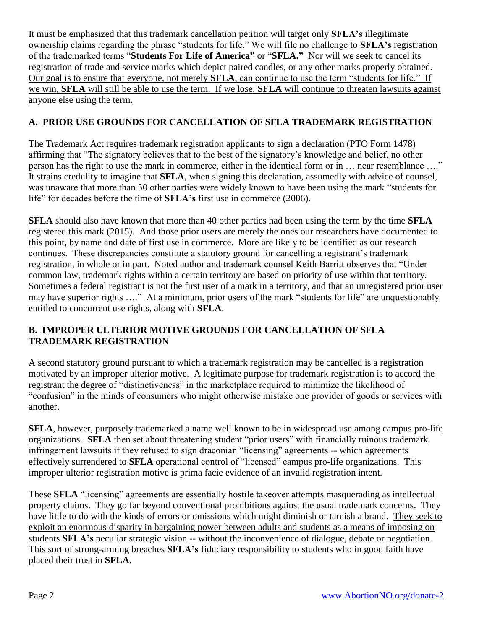It must be emphasized that this trademark cancellation petition will target only **SFLA's** illegitimate ownership claims regarding the phrase "students for life." We will file no challenge to **SFLA's** registration of the trademarked terms "**Students For Life of America"** or "**SFLA."** Nor will we seek to cancel its registration of trade and service marks which depict paired candles, or any other marks properly obtained. Our goal is to ensure that everyone, not merely **SFLA**, can continue to use the term "students for life." If we win, **SFLA** will still be able to use the term. If we lose, **SFLA** will continue to threaten lawsuits against anyone else using the term.

## **A. PRIOR USE GROUNDS FOR CANCELLATION OF SFLA TRADEMARK REGISTRATION**

The Trademark Act requires trademark registration applicants to sign a declaration (PTO Form 1478) affirming that "The signatory believes that to the best of the signatory's knowledge and belief, no other person has the right to use the mark in commerce, either in the identical form or in … near resemblance …." It strains credulity to imagine that **SFLA**, when signing this declaration, assumedly with advice of counsel, was unaware that more than 30 other parties were widely known to have been using the mark "students for life" for decades before the time of **SFLA's** first use in commerce (2006).

**SFLA** should also have known that more than 40 other parties had been using the term by the time **SFLA**  registered this mark (2015). And those prior users are merely the ones our researchers have documented to this point, by name and date of first use in commerce. More are likely to be identified as our research continues. These discrepancies constitute a statutory ground for cancelling a registrant's trademark registration, in whole or in part. Noted author and trademark counsel Keith Barritt observes that "Under common law, trademark rights within a certain territory are based on priority of use within that territory. Sometimes a federal registrant is not the first user of a mark in a territory, and that an unregistered prior user may have superior rights …." At a minimum, prior users of the mark "students for life" are unquestionably entitled to concurrent use rights, along with **SFLA**.

### **B. IMPROPER ULTERIOR MOTIVE GROUNDS FOR CANCELLATION OF SFLA TRADEMARK REGISTRATION**

A second statutory ground pursuant to which a trademark registration may be cancelled is a registration motivated by an improper ulterior motive. A legitimate purpose for trademark registration is to accord the registrant the degree of "distinctiveness" in the marketplace required to minimize the likelihood of "confusion" in the minds of consumers who might otherwise mistake one provider of goods or services with another.

**SFLA**, however, purposely trademarked a name well known to be in widespread use among campus pro-life organizations. **SFLA** then set about threatening student "prior users" with financially ruinous trademark infringement lawsuits if they refused to sign draconian "licensing" agreements -- which agreements effectively surrendered to **SFLA** operational control of "licensed" campus pro-life organizations. This improper ulterior registration motive is prima facie evidence of an invalid registration intent.

These **SFLA** "licensing" agreements are essentially hostile takeover attempts masquerading as intellectual property claims. They go far beyond conventional prohibitions against the usual trademark concerns. They have little to do with the kinds of errors or omissions which might diminish or tarnish a brand. They seek to exploit an enormous disparity in bargaining power between adults and students as a means of imposing on students **SFLA's** peculiar strategic vision -- without the inconvenience of dialogue, debate or negotiation. This sort of strong-arming breaches **SFLA's** fiduciary responsibility to students who in good faith have placed their trust in **SFLA**.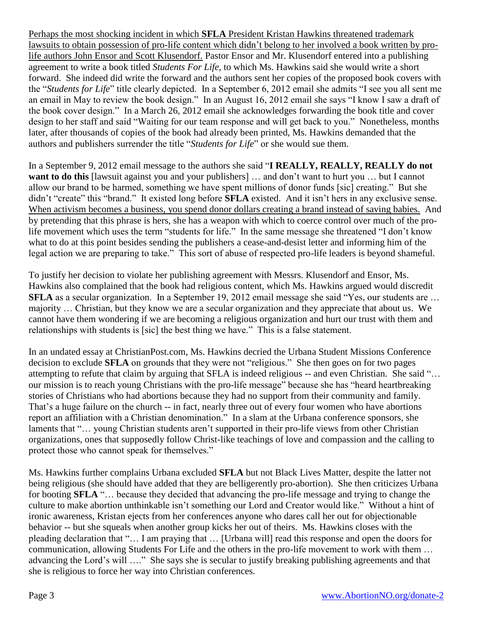Perhaps the most shocking incident in which **SFLA** President Kristan Hawkins threatened trademark lawsuits to obtain possession of pro-life content which didn't belong to her involved a book written by prolife authors John Ensor and Scott Klusendorf. Pastor Ensor and Mr. Klusendorf entered into a publishing agreement to write a book titled *Students For Life*, to which Ms. Hawkins said she would write a short forward. She indeed did write the forward and the authors sent her copies of the proposed book covers with the "*Students for Life*" title clearly depicted. In a September 6, 2012 email she admits "I see you all sent me an email in May to review the book design." In an August 16, 2012 email she says "I know I saw a draft of the book cover design." In a March 26, 2012 email she acknowledges forwarding the book title and cover design to her staff and said "Waiting for our team response and will get back to you." Nonetheless, months later, after thousands of copies of the book had already been printed, Ms. Hawkins demanded that the authors and publishers surrender the title "*Students for Life*" or she would sue them.

In a September 9, 2012 email message to the authors she said "**I REALLY, REALLY, REALLY do not want to do this** [lawsuit against you and your publishers] … and don't want to hurt you … but I cannot allow our brand to be harmed, something we have spent millions of donor funds [sic] creating." But she didn't "create" this "brand." It existed long before **SFLA** existed. And it isn't hers in any exclusive sense. When activism becomes a business, you spend donor dollars creating a brand instead of saving babies. And by pretending that this phrase is hers, she has a weapon with which to coerce control over much of the prolife movement which uses the term "students for life." In the same message she threatened "I don't know what to do at this point besides sending the publishers a cease-and-desist letter and informing him of the legal action we are preparing to take." This sort of abuse of respected pro-life leaders is beyond shameful.

To justify her decision to violate her publishing agreement with Messrs. Klusendorf and Ensor, Ms. Hawkins also complained that the book had religious content, which Ms. Hawkins argued would discredit **SFLA** as a secular organization. In a September 19, 2012 email message she said "Yes, our students are ... majority … Christian, but they know we are a secular organization and they appreciate that about us. We cannot have them wondering if we are becoming a religious organization and hurt our trust with them and relationships with students is [sic] the best thing we have." This is a false statement.

In an undated essay at ChristianPost.com, Ms. Hawkins decried the Urbana Student Missions Conference decision to exclude **SFLA** on grounds that they were not "religious." She then goes on for two pages attempting to refute that claim by arguing that SFLA is indeed religious -- and even Christian. She said "… our mission is to reach young Christians with the pro-life message" because she has "heard heartbreaking stories of Christians who had abortions because they had no support from their community and family. That's a huge failure on the church -- in fact, nearly three out of every four women who have abortions report an affiliation with a Christian denomination." In a slam at the Urbana conference sponsors, she laments that "... young Christian students aren't supported in their pro-life views from other Christian organizations, ones that supposedly follow Christ-like teachings of love and compassion and the calling to protect those who cannot speak for themselves."

Ms. Hawkins further complains Urbana excluded **SFLA** but not Black Lives Matter, despite the latter not being religious (she should have added that they are belligerently pro-abortion). She then criticizes Urbana for booting **SFLA** "… because they decided that advancing the pro-life message and trying to change the culture to make abortion unthinkable isn't something our Lord and Creator would like." Without a hint of ironic awareness, Kristan ejects from her conferences anyone who dares call her out for objectionable behavior -- but she squeals when another group kicks her out of theirs. Ms. Hawkins closes with the pleading declaration that "… I am praying that … [Urbana will] read this response and open the doors for communication, allowing Students For Life and the others in the pro-life movement to work with them … advancing the Lord's will …." She says she is secular to justify breaking publishing agreements and that she is religious to force her way into Christian conferences.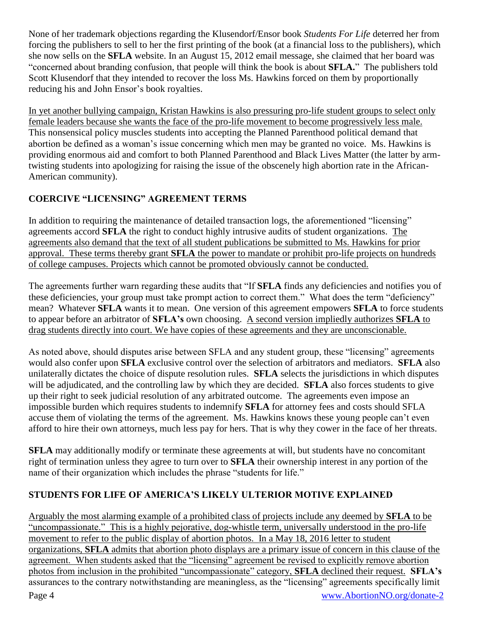None of her trademark objections regarding the Klusendorf/Ensor book *Students For Life* deterred her from forcing the publishers to sell to her the first printing of the book (at a financial loss to the publishers), which she now sells on the **SFLA** website. In an August 15, 2012 email message, she claimed that her board was "concerned about branding confusion, that people will think the book is about **SFLA.**" The publishers told Scott Klusendorf that they intended to recover the loss Ms. Hawkins forced on them by proportionally reducing his and John Ensor's book royalties.

In yet another bullying campaign, Kristan Hawkins is also pressuring pro-life student groups to select only female leaders because she wants the face of the pro-life movement to become progressively less male. This nonsensical policy muscles students into accepting the Planned Parenthood political demand that abortion be defined as a woman's issue concerning which men may be granted no voice. Ms. Hawkins is providing enormous aid and comfort to both Planned Parenthood and Black Lives Matter (the latter by armtwisting students into apologizing for raising the issue of the obscenely high abortion rate in the African-American community).

# **COERCIVE "LICENSING" AGREEMENT TERMS**

In addition to requiring the maintenance of detailed transaction logs, the aforementioned "licensing" agreements accord **SFLA** the right to conduct highly intrusive audits of student organizations. The agreements also demand that the text of all student publications be submitted to Ms. Hawkins for prior approval. These terms thereby grant **SFLA** the power to mandate or prohibit pro-life projects on hundreds of college campuses. Projects which cannot be promoted obviously cannot be conducted.

The agreements further warn regarding these audits that "If **SFLA** finds any deficiencies and notifies you of these deficiencies, your group must take prompt action to correct them." What does the term "deficiency" mean? Whatever **SFLA** wants it to mean. One version of this agreement empowers **SFLA** to force students to appear before an arbitrator of **SFLA's** own choosing. A second version impliedly authorizes **SFLA** to drag students directly into court. We have copies of these agreements and they are unconscionable.

As noted above, should disputes arise between SFLA and any student group, these "licensing" agreements would also confer upon **SFLA** exclusive control over the selection of arbitrators and mediators. **SFLA** also unilaterally dictates the choice of dispute resolution rules. **SFLA** selects the jurisdictions in which disputes will be adjudicated, and the controlling law by which they are decided. **SFLA** also forces students to give up their right to seek judicial resolution of any arbitrated outcome. The agreements even impose an impossible burden which requires students to indemnify **SFLA** for attorney fees and costs should SFLA accuse them of violating the terms of the agreement. Ms. Hawkins knows these young people can't even afford to hire their own attorneys, much less pay for hers. That is why they cower in the face of her threats.

**SFLA** may additionally modify or terminate these agreements at will, but students have no concomitant right of termination unless they agree to turn over to **SFLA** their ownership interest in any portion of the name of their organization which includes the phrase "students for life."

## **STUDENTS FOR LIFE OF AMERICA'S LIKELY ULTERIOR MOTIVE EXPLAINED**

Arguably the most alarming example of a prohibited class of projects include any deemed by **SFLA** to be "uncompassionate." This is a highly pejorative, dog-whistle term, universally understood in the pro-life movement to refer to the public display of abortion photos. In a May 18, 2016 letter to student organizations, **SFLA** admits that abortion photo displays are a primary issue of concern in this clause of the agreement. When students asked that the "licensing" agreement be revised to explicitly remove abortion photos from inclusion in the prohibited "uncompassionate" category, **SFLA** declined their request. **SFLA's** assurances to the contrary notwithstanding are meaningless, as the "licensing" agreements specifically limit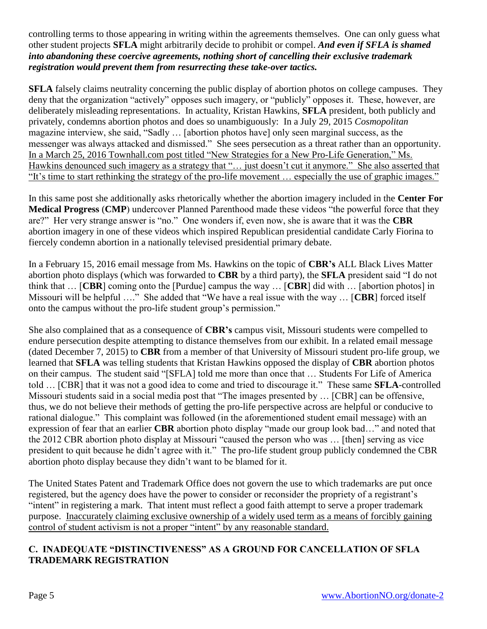controlling terms to those appearing in writing within the agreements themselves. One can only guess what other student projects **SFLA** might arbitrarily decide to prohibit or compel. *And even if SFLA is shamed into abandoning these coercive agreements, nothing short of cancelling their exclusive trademark registration would prevent them from resurrecting these take-over tactics.*

**SFLA** falsely claims neutrality concerning the public display of abortion photos on college campuses. They deny that the organization "actively" opposes such imagery, or "publicly" opposes it. These, however, are deliberately misleading representations. In actuality, Kristan Hawkins, **SFLA** president, both publicly and privately, condemns abortion photos and does so unambiguously: In a July 29, 2015 *Cosmopolitan* magazine interview, she said, "Sadly … [abortion photos have] only seen marginal success, as the messenger was always attacked and dismissed." She sees persecution as a threat rather than an opportunity. In a March 25, 2016 Townhall.com post titled "New Strategies for a New Pro-Life Generation," Ms. Hawkins denounced such imagery as a strategy that "… just doesn't cut it anymore." She also asserted that "It's time to start rethinking the strategy of the pro-life movement … especially the use of graphic images."

In this same post she additionally asks rhetorically whether the abortion imagery included in the **Center For Medical Progress** (**CMP**) undercover Planned Parenthood made these videos "the powerful force that they are?" Her very strange answer is "no." One wonders if, even now, she is aware that it was the **CBR**  abortion imagery in one of these videos which inspired Republican presidential candidate Carly Fiorina to fiercely condemn abortion in a nationally televised presidential primary debate.

In a February 15, 2016 email message from Ms. Hawkins on the topic of **CBR's** ALL Black Lives Matter abortion photo displays (which was forwarded to **CBR** by a third party), the **SFLA** president said "I do not think that … [**CBR**] coming onto the [Purdue] campus the way … [**CBR**] did with … [abortion photos] in Missouri will be helpful …." She added that "We have a real issue with the way … [**CBR**] forced itself onto the campus without the pro-life student group's permission."

She also complained that as a consequence of **CBR's** campus visit, Missouri students were compelled to endure persecution despite attempting to distance themselves from our exhibit. In a related email message (dated December 7, 2015) to **CBR** from a member of that University of Missouri student pro-life group, we learned that **SFLA** was telling students that Kristan Hawkins opposed the display of **CBR** abortion photos on their campus. The student said "[SFLA] told me more than once that … Students For Life of America told … [CBR] that it was not a good idea to come and tried to discourage it." These same **SFLA**-controlled Missouri students said in a social media post that "The images presented by … [CBR] can be offensive, thus, we do not believe their methods of getting the pro-life perspective across are helpful or conducive to rational dialogue." This complaint was followed (in the aforementioned student email message) with an expression of fear that an earlier **CBR** abortion photo display "made our group look bad…" and noted that the 2012 CBR abortion photo display at Missouri "caused the person who was … [then] serving as vice president to quit because he didn't agree with it." The pro-life student group publicly condemned the CBR abortion photo display because they didn't want to be blamed for it.

The United States Patent and Trademark Office does not govern the use to which trademarks are put once registered, but the agency does have the power to consider or reconsider the propriety of a registrant's "intent" in registering a mark. That intent must reflect a good faith attempt to serve a proper trademark purpose. Inaccurately claiming exclusive ownership of a widely used term as a means of forcibly gaining control of student activism is not a proper "intent" by any reasonable standard.

#### **C. INADEQUATE "DISTINCTIVENESS" AS A GROUND FOR CANCELLATION OF SFLA TRADEMARK REGISTRATION**